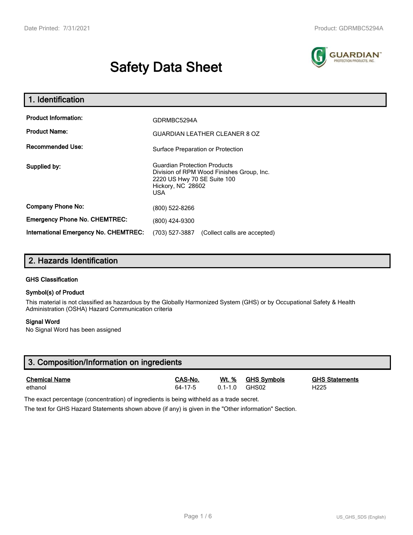# **Safety Data Sheet**



| 1. Identification                                   |                                                                                                                                                    |  |  |
|-----------------------------------------------------|----------------------------------------------------------------------------------------------------------------------------------------------------|--|--|
| <b>Product Information:</b><br><b>Product Name:</b> | GDRMBC5294A<br><b>GUARDIAN LEATHER CLEANER 8 OZ</b>                                                                                                |  |  |
| <b>Recommended Use:</b>                             | Surface Preparation or Protection                                                                                                                  |  |  |
| Supplied by:                                        | <b>Guardian Protection Products</b><br>Division of RPM Wood Finishes Group, Inc.<br>2220 US Hwy 70 SE Suite 100<br>Hickory, NC 28602<br><b>USA</b> |  |  |
| <b>Company Phone No:</b>                            | (800) 522-8266                                                                                                                                     |  |  |
| <b>Emergency Phone No. CHEMTREC:</b>                | (800) 424-9300                                                                                                                                     |  |  |
| <b>International Emergency No. CHEMTREC:</b>        | (703) 527-3887<br>(Collect calls are accepted)                                                                                                     |  |  |

## **2. Hazards Identification**

#### **GHS Classification**

#### **Symbol(s) of Product**

This material is not classified as hazardous by the Globally Harmonized System (GHS) or by Occupational Safety & Health Administration (OSHA) Hazard Communication criteria

#### **Signal Word**

No Signal Word has been assigned

| 3. Composition/Information on ingredients |               |             |                    |                       |  |  |
|-------------------------------------------|---------------|-------------|--------------------|-----------------------|--|--|
| <b>Chemical Name</b>                      | CAS-No.       | Wt. %       | <b>GHS Svmbols</b> | <b>GHS Statements</b> |  |  |
| ethanol                                   | $64 - 17 - 5$ | $0.1 - 1.0$ | GHS02              | H <sub>225</sub>      |  |  |

The exact percentage (concentration) of ingredients is being withheld as a trade secret.

The text for GHS Hazard Statements shown above (if any) is given in the "Other information" Section.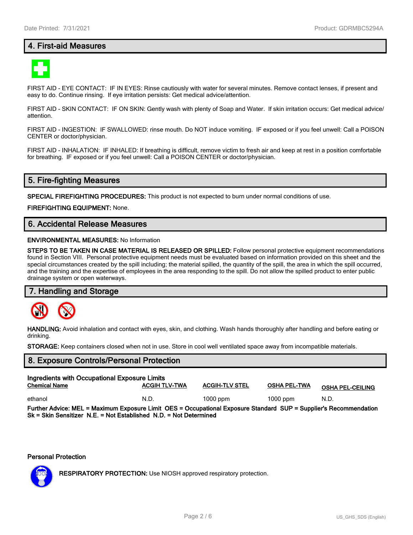## **4. First-aid Measures**



FIRST AID - EYE CONTACT: IF IN EYES: Rinse cautiously with water for several minutes. Remove contact lenses, if present and easy to do. Continue rinsing. If eye irritation persists: Get medical advice/attention.

FIRST AID - SKIN CONTACT: IF ON SKIN: Gently wash with plenty of Soap and Water. If skin irritation occurs: Get medical advice/ attention.

FIRST AID - INGESTION: IF SWALLOWED: rinse mouth. Do NOT induce vomiting. IF exposed or if you feel unwell: Call a POISON CENTER or doctor/physician.

FIRST AID - INHALATION: IF INHALED: If breathing is difficult, remove victim to fresh air and keep at rest in a position comfortable for breathing. IF exposed or if you feel unwell: Call a POISON CENTER or doctor/physician.

## **5. Fire-fighting Measures**

**SPECIAL FIREFIGHTING PROCEDURES:** This product is not expected to burn under normal conditions of use.

**FIREFIGHTING EQUIPMENT:** None.

## **6. Accidental Release Measures**

#### **ENVIRONMENTAL MEASURES:** No Information

**STEPS TO BE TAKEN IN CASE MATERIAL IS RELEASED OR SPILLED:** Follow personal protective equipment recommendations found in Section VIII. Personal protective equipment needs must be evaluated based on information provided on this sheet and the special circumstances created by the spill including; the material spilled, the quantity of the spill, the area in which the spill occurred, and the training and the expertise of employees in the area responding to the spill. Do not allow the spilled product to enter public drainage system or open waterways.

#### **7. Handling and Storage**



**HANDLING:** Avoid inhalation and contact with eyes, skin, and clothing. Wash hands thoroughly after handling and before eating or drinking.

**STORAGE:** Keep containers closed when not in use. Store in cool well ventilated space away from incompatible materials.

## **8. Exposure Controls/Personal Protection**

| Ingredients with Occupational Exposure Limits                                                                                                                                            |                      |                       |              |                         |  |  |
|------------------------------------------------------------------------------------------------------------------------------------------------------------------------------------------|----------------------|-----------------------|--------------|-------------------------|--|--|
| <b>Chemical Name</b>                                                                                                                                                                     | <b>ACGIH TLV-TWA</b> | <b>ACGIH-TLV STEL</b> | OSHA PEL-TWA | OSHA <u>PEL-CEILING</u> |  |  |
| ethanol                                                                                                                                                                                  | N.D.                 | $1000$ ppm            | $1000$ ppm   | N.D.                    |  |  |
| Further Advice: MEL = Maximum Exposure Limit OES = Occupational Exposure Standard SUP = Supplier's Recommendation<br>$Sk = Skin$ Sensitizer N.E. = Not Established N.D. = Not Determined |                      |                       |              |                         |  |  |

#### **Personal Protection**



**RESPIRATORY PROTECTION:** Use NIOSH approved respiratory protection.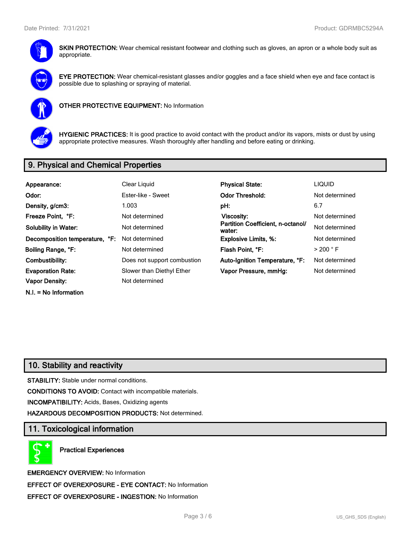

**SKIN PROTECTION:** Wear chemical resistant footwear and clothing such as gloves, an apron or a whole body suit as appropriate.



**EYE PROTECTION:** Wear chemical-resistant glasses and/or goggles and a face shield when eye and face contact is possible due to splashing or spraying of material.



**OTHER PROTECTIVE EQUIPMENT:** No Information



**HYGIENIC PRACTICES:** It is good practice to avoid contact with the product and/or its vapors, mists or dust by using appropriate protective measures. Wash thoroughly after handling and before eating or drinking.

## **9. Physical and Chemical Properties**

| Appearance:                    | Clear Liquid                | <b>Physical State:</b>                      | <b>LIQUID</b>        |
|--------------------------------|-----------------------------|---------------------------------------------|----------------------|
| Odor:                          | Ester-like - Sweet          | <b>Odor Threshold:</b>                      | Not determined       |
| Density, g/cm3:                | 1.003                       | pH:                                         | 6.7                  |
| Freeze Point, °F:              | Not determined              | Viscosity:                                  | Not determined       |
| <b>Solubility in Water:</b>    | Not determined              | Partition Coefficient, n-octanol/<br>water: | Not determined       |
| Decomposition temperature, °F: | Not determined              | <b>Explosive Limits, %:</b>                 | Not determined       |
| Boiling Range, °F:             | Not determined              | Flash Point, °F:                            | $>$ 200 $^{\circ}$ F |
| Combustibility:                | Does not support combustion | Auto-Ignition Temperature, °F:              | Not determined       |
| <b>Evaporation Rate:</b>       | Slower than Diethyl Ether   | Vapor Pressure, mmHg:                       | Not determined       |
| Vapor Density:                 | Not determined              |                                             |                      |
| $N.I. = No$ Information        |                             |                                             |                      |

## **10. Stability and reactivity**

**STABILITY:** Stable under normal conditions.

**CONDITIONS TO AVOID:** Contact with incompatible materials.

**INCOMPATIBILITY:** Acids, Bases, Oxidizing agents

**HAZARDOUS DECOMPOSITION PRODUCTS:** Not determined.

## **11. Toxicological information**

**Practical Experiences**

**EMERGENCY OVERVIEW:** No Information **EFFECT OF OVEREXPOSURE - EYE CONTACT:** No Information **EFFECT OF OVEREXPOSURE - INGESTION:** No Information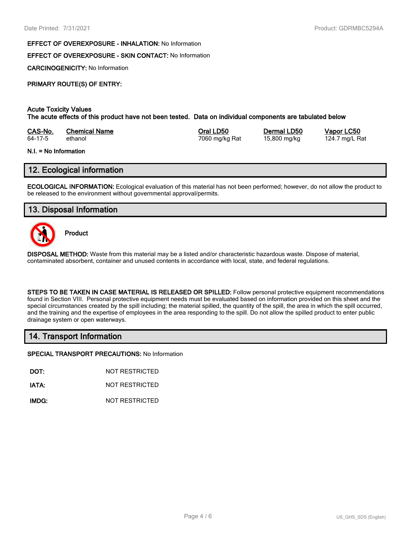#### **EFFECT OF OVEREXPOSURE - INHALATION:** No Information

#### **EFFECT OF OVEREXPOSURE - SKIN CONTACT:** No Information

**CARCINOGENICITY:** No Information

#### **PRIMARY ROUTE(S) OF ENTRY:**

#### **Acute Toxicity Values**

**The acute effects of this product have not been tested. Data on individual components are tabulated below**

| CAS-No. | <b>Chemical Name</b> | Oral LD50      | Dermal LD50  | Vapor LC50     |
|---------|----------------------|----------------|--------------|----------------|
| 64-17-5 | ethanol              | 7060 mg/kg Rat | 15,800 mg/kg | 124.7 mg/L Rat |

#### **N.I. = No Information**

## **12. Ecological information**

**ECOLOGICAL INFORMATION:** Ecological evaluation of this material has not been performed; however, do not allow the product to be released to the environment without governmental approval/permits.

## **13. Disposal Information**



**Product**

**DISPOSAL METHOD:** Waste from this material may be a listed and/or characteristic hazardous waste. Dispose of material, contaminated absorbent, container and unused contents in accordance with local, state, and federal regulations.

**STEPS TO BE TAKEN IN CASE MATERIAL IS RELEASED OR SPILLED:** Follow personal protective equipment recommendations found in Section VIII. Personal protective equipment needs must be evaluated based on information provided on this sheet and the special circumstances created by the spill including; the material spilled, the quantity of the spill, the area in which the spill occurred, and the training and the expertise of employees in the area responding to the spill. Do not allow the spilled product to enter public drainage system or open waterways.

## **14. Transport Information**

**SPECIAL TRANSPORT PRECAUTIONS:** No Information

**DOT:** NOT RESTRICTED

**IATA:** NOT RESTRICTED

**IMDG:** NOT RESTRICTED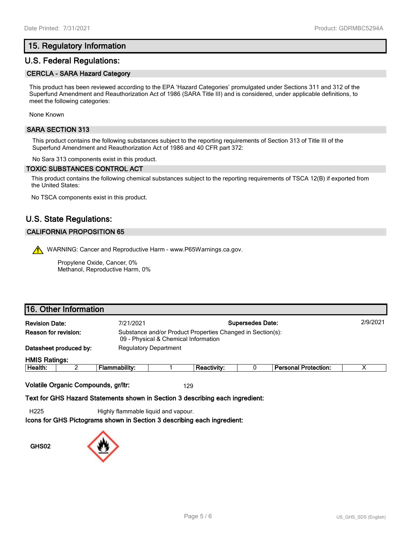## **15. Regulatory Information**

## **U.S. Federal Regulations:**

#### **CERCLA - SARA Hazard Category**

This product has been reviewed according to the EPA 'Hazard Categories' promulgated under Sections 311 and 312 of the Superfund Amendment and Reauthorization Act of 1986 (SARA Title III) and is considered, under applicable definitions, to meet the following categories:

None Known

#### **SARA SECTION 313**

This product contains the following substances subject to the reporting requirements of Section 313 of Title III of the Superfund Amendment and Reauthorization Act of 1986 and 40 CFR part 372:

No Sara 313 components exist in this product.

#### **TOXIC SUBSTANCES CONTROL ACT**

This product contains the following chemical substances subject to the reporting requirements of TSCA 12(B) if exported from the United States:

No TSCA components exist in this product.

## **U.S. State Regulations:**

#### **CALIFORNIA PROPOSITION 65**

WARNING: Cancer and Reproductive Harm - www.P65Warnings.ca.gov.

Propylene Oxide, Cancer, 0% Methanol, Reproductive Harm, 0%

## **16. Other Information**

| <b>Revision Date:</b> |                                                                                                                            | 7/21/2021     | <b>Supersedes Date:</b>      |                    |  | 2/9/2021                    |  |
|-----------------------|----------------------------------------------------------------------------------------------------------------------------|---------------|------------------------------|--------------------|--|-----------------------------|--|
|                       | Reason for revision:<br>Substance and/or Product Properties Changed in Section(s):<br>09 - Physical & Chemical Information |               |                              |                    |  |                             |  |
|                       | Datasheet produced by:                                                                                                     |               | <b>Regulatory Department</b> |                    |  |                             |  |
| <b>HMIS Ratings:</b>  |                                                                                                                            |               |                              |                    |  |                             |  |
| Health:               |                                                                                                                            | Flammability: |                              | <b>Reactivity:</b> |  | <b>Personal Protection:</b> |  |
|                       |                                                                                                                            |               |                              |                    |  |                             |  |

**Volatile Organic Compounds, gr/ltr:** 129

**Text for GHS Hazard Statements shown in Section 3 describing each ingredient:**

H225 Highly flammable liquid and vapour.

**Icons for GHS Pictograms shown in Section 3 describing each ingredient:**